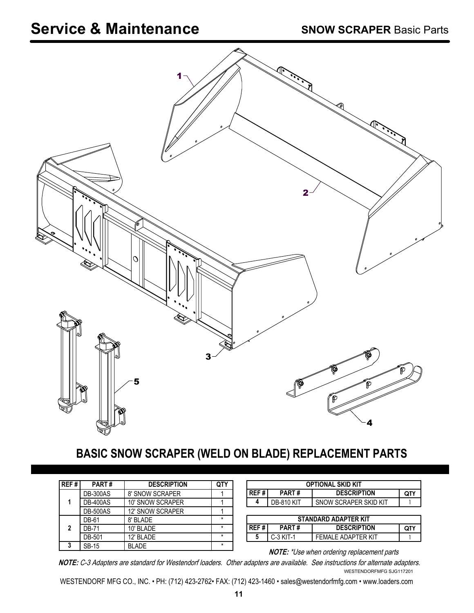

## **BASIC SNOW SCRAPER (WELD ON BLADE) REPLACEMENT PARTS**

| REF#          | <b>PART#</b>    | <b>DESCRIPTION</b>      |         |
|---------------|-----------------|-------------------------|---------|
| 1             | <b>DB-300AS</b> | 8' SNOW SCRAPER         |         |
|               | <b>DB-400AS</b> | 10' SNOW SCRAPER        |         |
|               | <b>DB-500AS</b> | <b>12' SNOW SCRAPER</b> |         |
| $\mathfrak z$ | DB-61           | 8' BI ADF               |         |
|               | <b>DB-71</b>    | 10' BLADE               |         |
|               | DB-501          | 12' BLADE               | $\star$ |
| 2             | <b>SB-15</b>    | <b>RLADE</b>            | $\star$ |

| <b>OPTIONAL SKID KIT</b>    |                   |                       |     |
|-----------------------------|-------------------|-----------------------|-----|
| l REF # l                   | PART#             | <b>DESCRIPTION</b>    | QTY |
| 4                           | <b>DB-810 KIT</b> | SNOW SCRAPER SKID KIT |     |
|                             |                   |                       |     |
| <b>STANDARD ADAPTER KIT</b> |                   |                       |     |
| l REF # l                   | PART#             | <b>DESCRIPTION</b>    | QTY |
| 5                           | $C-3$ KIT-1       | FFMAI F ADAPTFR KIT   |     |

**NOTE:** \*Use when ordering replacement parts

**NOTE:** C-3 Adapters are standard for Westendorf loaders. Other adapters are available. See instructions for alternate adapters. WESTENDORFMFG SJG117201

WESTENDORF MFG CO., INC. • PH: (712) 423-2762• FAX: (712) 423-1460 • sales@westendorfmfg.com • www.loaders.com